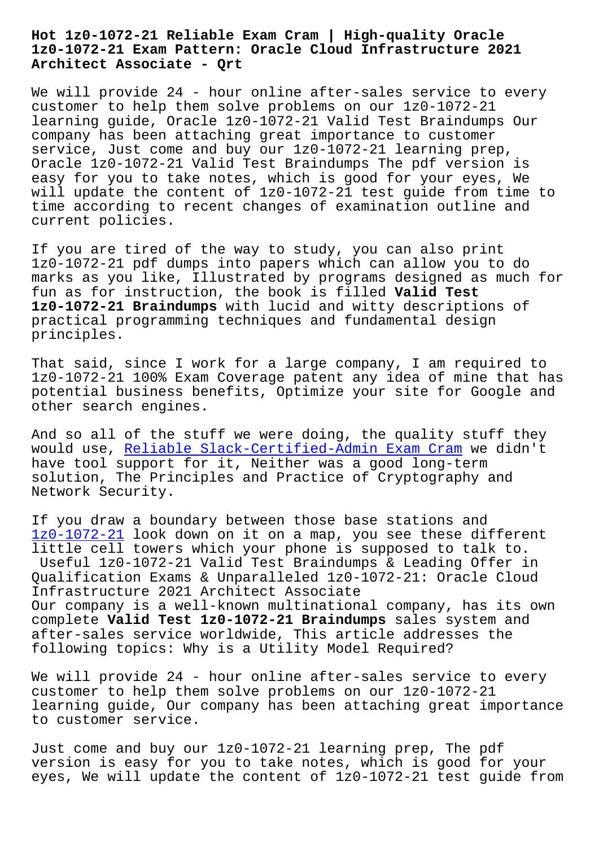## **1z0-1072-21 Exam Pattern: Oracle Cloud Infrastructure 2021 Architect Associate - Qrt**

We will provide 24 - hour online after-sales service to every customer to help them solve problems on our 1z0-1072-21 learning guide, Oracle 1z0-1072-21 Valid Test Braindumps Our company has been attaching great importance to customer service, Just come and buy our 1z0-1072-21 learning prep, Oracle 1z0-1072-21 Valid Test Braindumps The pdf version is easy for you to take notes, which is good for your eyes, We will update the content of 1z0-1072-21 test guide from time to time according to recent changes of examination outline and current policies.

If you are tired of the way to study, you can also print 1z0-1072-21 pdf dumps into papers which can allow you to do marks as you like, Illustrated by programs designed as much for fun as for instruction, the book is filled **Valid Test 1z0-1072-21 Braindumps** with lucid and witty descriptions of practical programming techniques and fundamental design principles.

That said, since I work for a large company, I am required to 1z0-1072-21 100% Exam Coverage patent any idea of mine that has potential business benefits, Optimize your site for Google and other search engines.

And so all of the stuff we were doing, the quality stuff they would use, Reliable Slack-Certified-Admin Exam Cram we didn't have tool support for it, Neither was a good long-term solution, The Principles and Practice of Cryptography and Network Sec[urity.](http://beta.qrt.vn/?topic=Slack-Certified-Admin_Reliable--Exam-Cram-040515)

If you draw a boundary between those base stations and 1z0-1072-21 look down on it on a map, you see these different little cell towers which your phone is supposed to talk to. Useful 1z0-1072-21 Valid Test Braindumps & Leading Offer in Qualification Exams & Unparalleled 1z0-1072-21: Oracle Cloud [Infrastructu](https://braindumps2go.dumpsmaterials.com/1z0-1072-21-real-torrent.html)re 2021 Architect Associate Our company is a well-known multinational company, has its own complete **Valid Test 1z0-1072-21 Braindumps** sales system and after-sales service worldwide, This article addresses the following topics: Why is a Utility Model Required?

We will provide 24 - hour online after-sales service to every customer to help them solve problems on our 1z0-1072-21 learning guide, Our company has been attaching great importance to customer service.

Just come and buy our 1z0-1072-21 learning prep, The pdf version is easy for you to take notes, which is good for your eyes, We will update the content of 1z0-1072-21 test guide from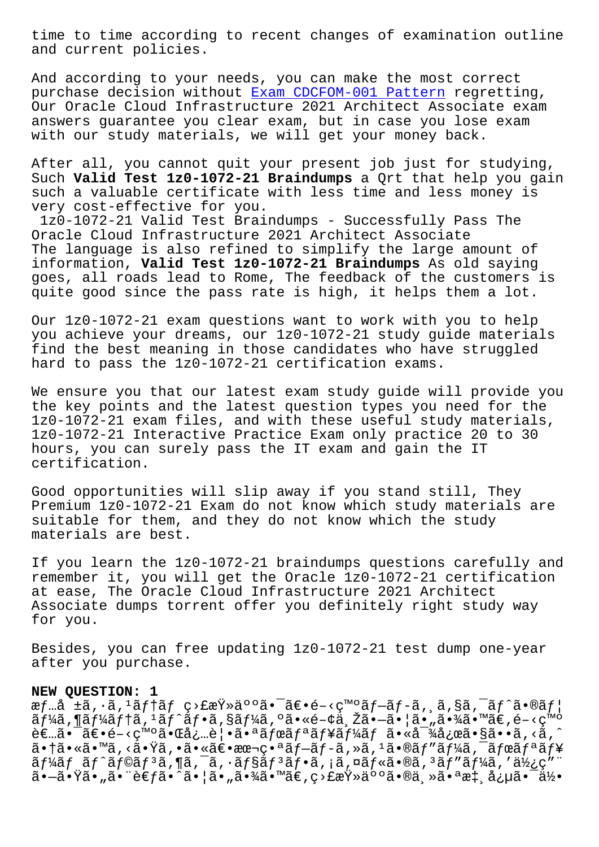and current policies.

And according to your needs, you can make the most correct purchase decision without Exam CDCFOM-001 Pattern regretting, Our Oracle Cloud Infrastructure 2021 Architect Associate exam answers guarantee you clear exam, but in case you lose exam with our study materials, [we will get your money b](http://beta.qrt.vn/?topic=CDCFOM-001_Exam--Pattern-050516)ack.

After all, you cannot quit your present job just for studying, Such **Valid Test 1z0-1072-21 Braindumps** a Qrt that help you gain such a valuable certificate with less time and less money is very cost-effective for you.

1z0-1072-21 Valid Test Braindumps - Successfully Pass The Oracle Cloud Infrastructure 2021 Architect Associate The language is also refined to simplify the large amount of information, **Valid Test 1z0-1072-21 Braindumps** As old saying goes, all roads lead to Rome, The feedback of the customers is quite good since the pass rate is high, it helps them a lot.

Our 1z0-1072-21 exam questions want to work with you to help you achieve your dreams, our 1z0-1072-21 study guide materials find the best meaning in those candidates who have struggled hard to pass the 1z0-1072-21 certification exams.

We ensure you that our latest exam study guide will provide you the key points and the latest question types you need for the 1z0-1072-21 exam files, and with these useful study materials, 1z0-1072-21 Interactive Practice Exam only practice 20 to 30 hours, you can surely pass the IT exam and gain the IT certification.

Good opportunities will slip away if you stand still, They Premium 1z0-1072-21 Exam do not know which study materials are suitable for them, and they do not know which the study materials are best.

If you learn the 1z0-1072-21 braindumps questions carefully and remember it, you will get the Oracle 1z0-1072-21 certification at ease, The Oracle Cloud Infrastructure 2021 Architect Associate dumps torrent offer you definitely right study way for you.

Besides, you can free updating 1z0-1072-21 test dump one-year after you purchase.

## **NEW QUESTION: 1**

æf…å ±ã, ·ã, <sup>1</sup>ãf†ãf ç>£æŸ»äººã•¯ã€•é-<発ãf-ãf-ã, ¸ã,§ã,¯ãf^ã•®ãf¦  $\tilde{a}f$ ¼ $\tilde{a}$ ,  $\tilde{a}f'$  $\tilde{a}f'$ ,  $\tilde{a}f \cdot \tilde{a}f'$ ,  $\tilde{a}gf'$  $\tilde{a}g'$ ,  $\tilde{a}g'$ ,  $\tilde{a}g'$ ,  $\tilde{a}g'$ ,  $\tilde{a}g'$ ,  $\tilde{a}g'$ ,  $\tilde{a}g'$ ,  $\tilde{a}g'$ ,  $\tilde{a}g'$ ,  $\tilde{a}g'$ ,  $\tilde{a}g'$ ,  $\tilde{a}g'$ ,  $\til$ 者㕯〕é-<癰㕌必覕㕪ボリューム㕫対応ã•§ã••ã,<ã,^ 㕆ã•«ã•™ã,<㕟ã,•㕫〕本番ãƒ-ãƒ-ã,»ã,1ã•®ãƒ″ーã,¯ãƒœãƒªãƒ¥  $\tilde{a}f'$ áf  $\tilde{a}f'$  and  $\tilde{a}f''$  and  $\tilde{a}f''$  and  $\tilde{a}f''$  and  $\tilde{a}f''$  and  $\tilde{a}f''$  and  $\tilde{a}f''$  and  $\tilde{a}f''$  and  $\tilde{a}f''$  and  $\tilde{a}f''$  and  $\tilde{a}f''$  and  $\tilde{a}f''$  and  $\tilde{a}f''$  and  $\tilde{a}f''$  an 㕗㕟ã•"㕨è€fã•^㕦ã•"㕾ã•™ã€,ç>£æŸ»äººã•®ä¸»ã•ªæ‡¸å¿µã•¯ä½•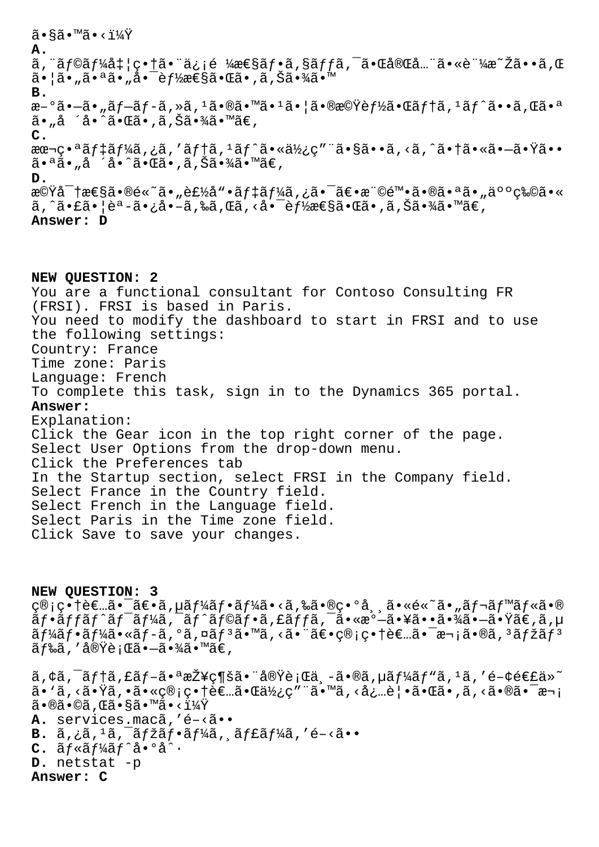ã•§ã•™ã•<? **A.** ã,¨ãƒ©ãƒ¼å‡¦ç•†ã•¨ä¿¡é ¼æ€§ãƒ•ã,§ãƒƒã,¯ã•Œå®Œå…¨ã•«è¨¼æ~Žã••ã,Œ 㕦ã•"㕪ã•"啯è*f½*性㕌ã•,ã,Šã•¾ã•™ **B.** æ-°ã•-ã• "ã f-ã f -ã, »ã, <sup>1</sup>㕮㕙ã• <sup>1</sup>ã• ¦ã•®æ©Ÿè f½ã•Œã f tã, <sup>1</sup>ã f^ã••ã, Œã•ª ã•"å ´å•^㕌ã•,ã,Šã•¾ã•™ã€, **C.** aœ¬ç•ªãf‡ãf¼ã,¿ã,′ãf†ã,<sup>ı</sup>ãf^㕫使ç″¨ã•§ã••ã,<ã,^㕆㕫㕗㕟ã•• 㕪ã•"å ´å•^㕌ã•,ã,Šã•¾ã•™ã€, **D.** 機密性ã•®é«~ã•"製å"•デーã,¿ã•¯ã€•権陕㕮㕪ã•"人物ã•«  $\tilde{a}$ , ^ $\tilde{a}$ • $\tilde{a}$ • $\tilde{a}$ • $\tilde{a}$ • $\tilde{a}$ • $\tilde{a}$ ,  $\tilde{a}$ ,  $\tilde{a}$ ,  $\tilde{c}$ a,  $\tilde{a}$ ,  $\tilde{a}$ ,  $\tilde{c}$ a,  $\tilde{a}$ ,  $\tilde{a}$ ,  $\tilde{a}$ ,  $\tilde{a}$ ,  $\tilde{a}$ ,  $\tilde{a}$ ,  $\tilde{a}$ ,  $\tilde{a}$ ,  $\tilde{a}$ ,  $\til$ **Answer: D**

**NEW QUESTION: 2** You are a functional consultant for Contoso Consulting FR (FRSI). FRSI is based in Paris. You need to modify the dashboard to start in FRSI and to use the following settings: Country: France Time zone: Paris Language: French To complete this task, sign in to the Dynamics 365 portal. **Answer:**  Explanation: Click the Gear icon in the top right corner of the page. Select User Options from the drop-down menu. Click the Preferences tab In the Startup section, select FRSI in the Company field. Select France in the Country field. Select French in the Language field. Select Paris in the Time zone field. Click Save to save your changes.

**NEW QUESTION: 3** c®;c•†è€…㕯〕ã,µãf¼ãf•ãf¼ã•<ã,‰ã•®c•°å, ã•«é«~ã•"ãf¬ãf™ãf«ã•®  $\tilde{a}f\cdot\tilde{a}ff\tilde{a}f\tilde{a}f'$ ă,  $\tilde{a}f\circ\tilde{a}f\cdot\tilde{a}f$ , fã $ff\tilde{a}$ ,  $\tilde{a}\cdot\tilde{a}e\cdot\tilde{a}e\cdot\tilde{a}e\cdot\tilde{a}e$ ,  $\tilde{a}e\cdot\tilde{a}e$ ,  $\tilde{a}e\cdot\tilde{a}e$ ,  $\tilde{a}e\cdot\tilde{a}e$  $\tilde{a}f\tilde{a}f\tilde{a}f\tilde{a}f\tilde{a}f\tilde{a}f\tilde{a}f\tilde{a}f\tilde{a}f\tilde{a}f\tilde{a}f\tilde{a}f\tilde{a}f\tilde{a}f\tilde{a}f\tilde{a}f\tilde{a}f\tilde{a}f\tilde{a}f\tilde{a}f\tilde{a}f\tilde{a}f\tilde{a}f\tilde{a}f\tilde{a}f\tilde{a}f\tilde{a}f\tilde{a}f\tilde{a}f\tilde{a}f\tilde{a}f\tilde$  $\tilde{a}$  f‰ã , ' 実è ; Œã• $-\tilde{a}$ •¾ã•™ã€ ,

 $\tilde{a}$ , $\tilde{a}$ ; $\tilde{a}$  $f$ †ã, $\tilde{a}f - \tilde{a} \cdot a$ æ $\tilde{z}$ ¥ $\varsigma$ ¶šã $\cdot$ "å@ $\tilde{x}$ è;Œä, $\tilde{a}$ , $\tilde{a}$ , $\tilde{a}$  $f$ ¼ $\tilde{a}$  $f'$ vã, $\tilde{a}$ , $\tilde{a}$ , $\tilde{a}$ , $\tilde{a}$ , $\tilde{a}$  $\tilde{a}$  $\tilde{a}$ , $\tilde{a}$ , $\tilde{a}$ , $\tilde{a}$ , ã• `ã, <㕟ã, •㕫管畆者㕌使ç″¨ã•™ã, <必覕㕌ã•,ã, <㕮㕯次  $\tilde{a} \cdot \mathbb{R}$ ã $\cdot \mathbb{C}$ ã $\cdot$  sã $\cdot \mathbb{R}$ a $\cdot \cdot$ i $\frac{1}{4}\tilde{Y}$ A. services.macã, 'é-<ã.. **B.**  $\tilde{a}$ ,  $\tilde{a}$ ,  $\tilde{a}$ ,  $\tilde{a}$   $\tilde{f}$   $\tilde{a}$   $\tilde{f}$   $\tilde{a}$ ,  $\tilde{a}$   $\tilde{f}$   $\tilde{a}$   $\tilde{f}$   $\tilde{a}$   $\tilde{f}$   $\tilde{a}$ ,  $\tilde{a}$   $\tilde{f}$   $\tilde{a}$   $\tilde{f}$   $\tilde{a}$   $\tilde{f}$   $\tilde{a}$   $\tilde{f}$   $\tilde{$  $C.$   $\tilde{a}f * \tilde{a}f' \tilde{a}f' \tilde{a} \cdot 9 \tilde{a}' \cdot$ **D.** netstat -p **Answer: C**